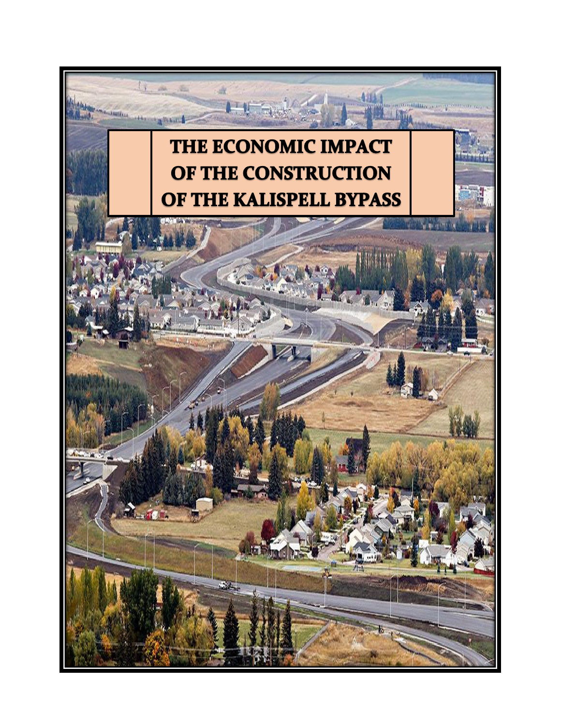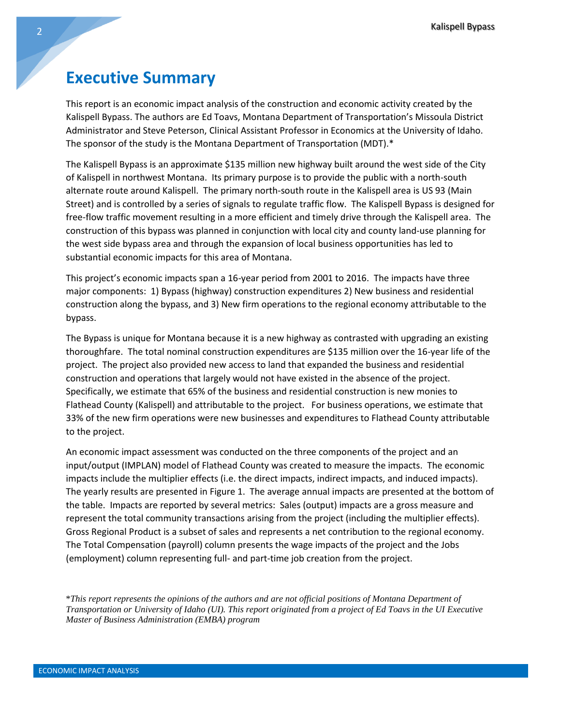## **Executive Summary**

This report is an economic impact analysis of the construction and economic activity created by the Kalispell Bypass. The authors are Ed Toavs, Montana Department of Transportation's Missoula District Administrator and Steve Peterson, Clinical Assistant Professor in Economics at the University of Idaho. The sponsor of the study is the Montana Department of Transportation (MDT).\*

The Kalispell Bypass is an approximate \$135 million new highway built around the west side of the City of Kalispell in northwest Montana. Its primary purpose is to provide the public with a north-south alternate route around Kalispell. The primary north-south route in the Kalispell area is US 93 (Main Street) and is controlled by a series of signals to regulate traffic flow. The Kalispell Bypass is designed for free-flow traffic movement resulting in a more efficient and timely drive through the Kalispell area. The construction of this bypass was planned in conjunction with local city and county land-use planning for the west side bypass area and through the expansion of local business opportunities has led to substantial economic impacts for this area of Montana.

This project's economic impacts span a 16-year period from 2001 to 2016. The impacts have three major components: 1) Bypass (highway) construction expenditures 2) New business and residential construction along the bypass, and 3) New firm operations to the regional economy attributable to the bypass.

The Bypass is unique for Montana because it is a new highway as contrasted with upgrading an existing thoroughfare. The total nominal construction expenditures are \$135 million over the 16-year life of the project. The project also provided new access to land that expanded the business and residential construction and operations that largely would not have existed in the absence of the project. Specifically, we estimate that 65% of the business and residential construction is new monies to Flathead County (Kalispell) and attributable to the project. For business operations, we estimate that 33% of the new firm operations were new businesses and expenditures to Flathead County attributable to the project.

An economic impact assessment was conducted on the three components of the project and an input/output (IMPLAN) model of Flathead County was created to measure the impacts. The economic impacts include the multiplier effects (i.e. the direct impacts, indirect impacts, and induced impacts). The yearly results are presented in Figure 1. The average annual impacts are presented at the bottom of the table. Impacts are reported by several metrics: Sales (output) impacts are a gross measure and represent the total community transactions arising from the project (including the multiplier effects). Gross Regional Product is a subset of sales and represents a net contribution to the regional economy. The Total Compensation (payroll) column presents the wage impacts of the project and the Jobs (employment) column representing full- and part-time job creation from the project.

\**This report represents the opinions of the authors and are not official positions of Montana Department of Transportation or University of Idaho (UI). This report originated from a project of Ed Toavs in the UI Executive Master of Business Administration (EMBA) program*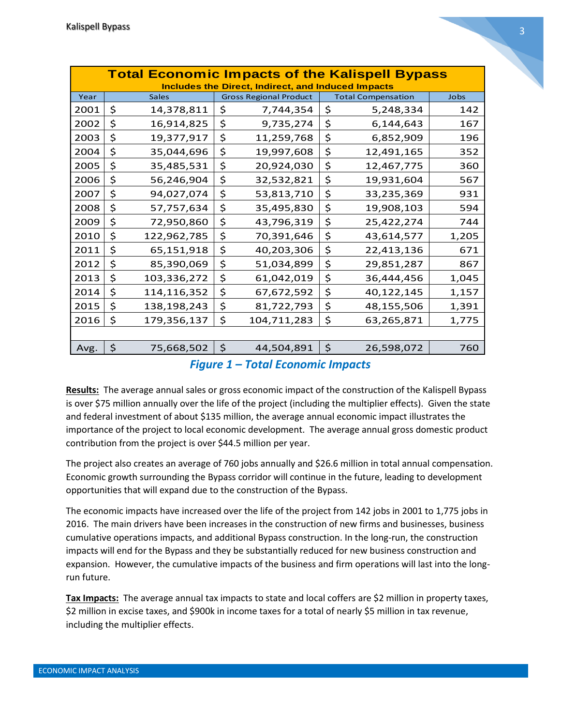| <b>Total Economic Impacts of the Kalispell Bypass</b>     |    |              |              |                               |         |                           |       |
|-----------------------------------------------------------|----|--------------|--------------|-------------------------------|---------|---------------------------|-------|
| <b>Includes the Direct, Indirect, and Induced Impacts</b> |    |              |              |                               |         |                           |       |
| Year                                                      |    | <b>Sales</b> |              | <b>Gross Regional Product</b> |         | <b>Total Compensation</b> | Jobs  |
| 2001                                                      | \$ | 14,378,811   | \$           | 7,744,354                     | \$      | 5,248,334                 | 142   |
| 2002                                                      | \$ | 16,914,825   | \$           | 9,735,274                     | \$      | 6,144,643                 | 167   |
| 2003                                                      | \$ | 19,377,917   | \$           | 11,259,768                    | \$      | 6,852,909                 | 196   |
| 2004                                                      | \$ | 35,044,696   | \$           | 19,997,608                    | \$      | 12,491,165                | 352   |
| 2005                                                      | \$ | 35,485,531   | \$           | 20,924,030                    | \$      | 12,467,775                | 360   |
| 2006                                                      | \$ | 56,246,904   | \$           | 32,532,821                    | \$      | 19,931,604                | 567   |
| 2007                                                      | \$ | 94,027,074   | \$           | 53,813,710                    | \$      | 33,235,369                | 931   |
| 2008                                                      | \$ | 57,757,634   | \$           | 35,495,830                    | \$      | 19,908,103                | 594   |
| 2009                                                      | \$ | 72,950,860   | \$           | 43,796,319                    | \$      | 25,422,274                | 744   |
| 2010                                                      | \$ | 122,962,785  | \$           | 70,391,646                    | \$      | 43,614,577                | 1,205 |
| 2011                                                      | \$ | 65,151,918   | \$           | 40,203,306                    | \$      | 22,413,136                | 671   |
| 2012                                                      | \$ | 85,390,069   | \$           | 51,034,899                    | \$      | 29,851,287                | 867   |
| 2013                                                      | \$ | 103,336,272  | \$           | 61,042,019                    | \$      | 36,444,456                | 1,045 |
| 2014                                                      | \$ | 114,116,352  | \$           | 67,672,592                    | \$      | 40,122,145                | 1,157 |
| 2015                                                      | \$ | 138,198,243  | \$           | 81,722,793                    | \$      | 48,155,506                | 1,391 |
| 2016                                                      | \$ | 179,356,137  | \$           | 104,711,283                   | \$      | 63,265,871                | 1,775 |
|                                                           |    |              |              |                               |         |                           |       |
| Avg.                                                      | \$ | 75,668,502   | $\mathsf{S}$ | 44,504,891                    | $\zeta$ | 26,598,072                | 760   |
| <u> Figure 1 – Total Fronomic Impacts</u>                 |    |              |              |                               |         |                           |       |

*Figure 1 - Total Economic Impacts Figure 1 – Total Economic Impacts*

**Results:** The average annual sales or gross economic impact of the construction of the Kalispell Bypass is over \$75 million annually over the life of the project (including the multiplier effects). Given the state and federal investment of about \$135 million, the average annual economic impact illustrates the importance of the project to local economic development. The average annual gross domestic product contribution from the project is over \$44.5 million per year.

The project also creates an average of 760 jobs annually and \$26.6 million in total annual compensation. Economic growth surrounding the Bypass corridor will continue in the future, leading to development opportunities that will expand due to the construction of the Bypass.

The economic impacts have increased over the life of the project from 142 jobs in 2001 to 1,775 jobs in 2016. The main drivers have been increases in the construction of new firms and businesses, business cumulative operations impacts, and additional Bypass construction. In the long-run, the construction impacts will end for the Bypass and they be substantially reduced for new business construction and expansion. However, the cumulative impacts of the business and firm operations will last into the longrun future.

**Tax Impacts:** The average annual tax impacts to state and local coffers are \$2 million in property taxes, \$2 million in excise taxes, and \$900k in income taxes for a total of nearly \$5 million in tax revenue, including the multiplier effects.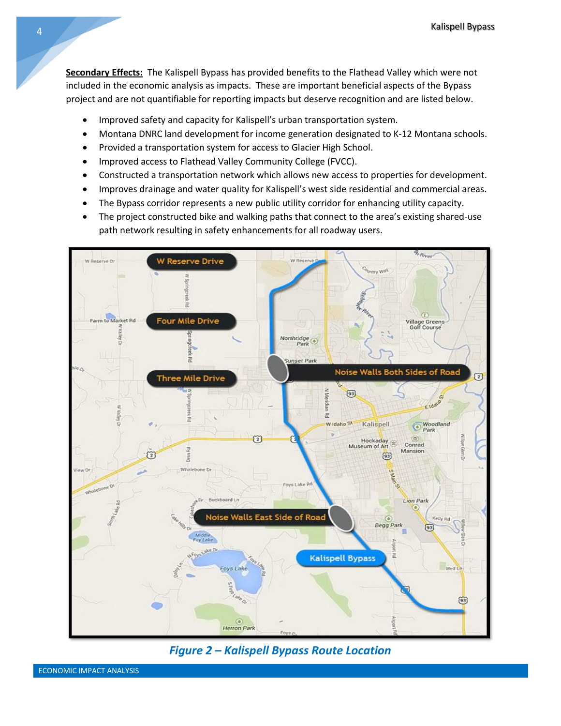**Secondary Effects:** The Kalispell Bypass has provided benefits to the Flathead Valley which were not included in the economic analysis as impacts. These are important beneficial aspects of the Bypass project and are not quantifiable for reporting impacts but deserve recognition and are listed below.

- Improved safety and capacity for Kalispell's urban transportation system.
- Montana DNRC land development for income generation designated to K-12 Montana schools.
- Provided a transportation system for access to Glacier High School.
- Improved access to Flathead Valley Community College (FVCC).
- Constructed a transportation network which allows new access to properties for development.
- Improves drainage and water quality for Kalispell's west side residential and commercial areas.
- The Bypass corridor represents a new public utility corridor for enhancing utility capacity.
- The project constructed bike and walking paths that connect to the area's existing shared-use path network resulting in safety enhancements for all roadway users.



*Figure 2 - Kalispell Bypass Route Location Figure 2 – Kalispell Bypass Route Location*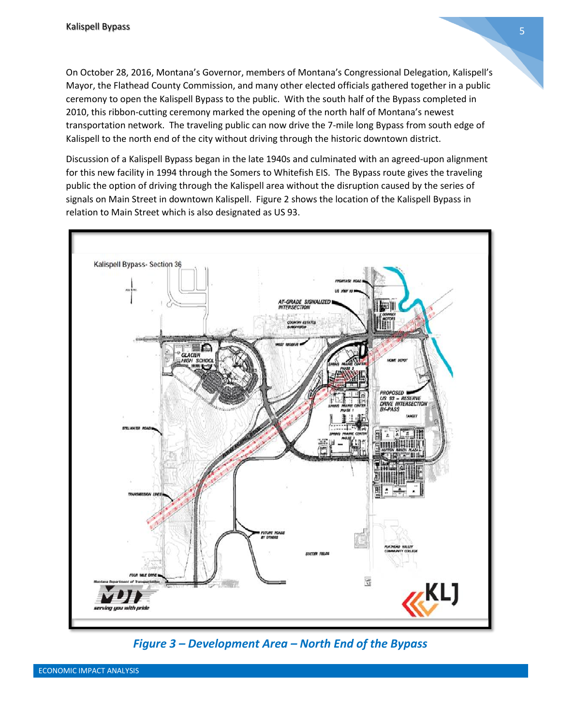On October 28, 2016, Montana's Governor, members of Montana's Congressional Delegation, Kalispell's Mayor, the Flathead County Commission, and many other elected officials gathered together in a public ceremony to open the Kalispell Bypass to the public. With the south half of the Bypass completed in 2010, this ribbon-cutting ceremony marked the opening of the north half of Montana's newest transportation network. The traveling public can now drive the 7-mile long Bypass from south edge of Kalispell to the north end of the city without driving through the historic downtown district.

Discussion of a Kalispell Bypass began in the late 1940s and culminated with an agreed-upon alignment for this new facility in 1994 through the Somers to Whitefish EIS. The Bypass route gives the traveling public the option of driving through the Kalispell area without the disruption caused by the series of signals on Main Street in downtown Kalispell. Figure 2 shows the location of the Kalispell Bypass in relation to Main Street which is also designated as US 93.



*Figure 3 Figure 3 - Development Area - North End of the Bypass – Development Area – North End of the Bypass*